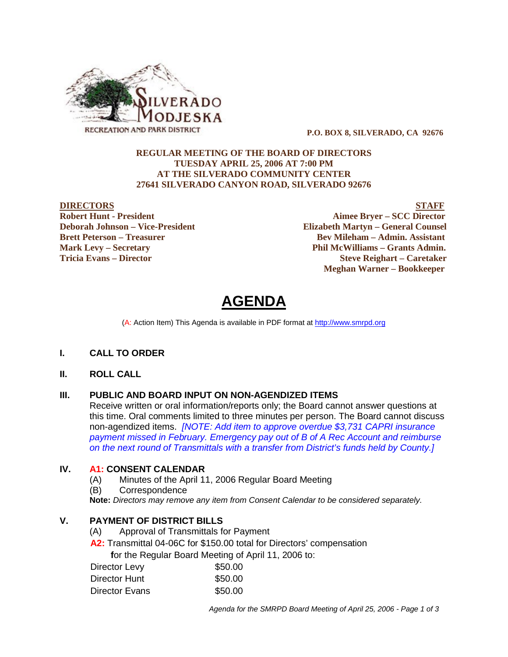

 **P.O. BOX 8, SILVERADO, CA 92676**

### **REGULAR MEETING OF THE BOARD OF DIRECTORS TUESDAY APRIL 25, 2006 AT 7:00 PM AT THE SILVERADO COMMUNITY CENTER 27641 SILVERADO CANYON ROAD, SILVERADO 92676**

<u>DIRECTORS</u><br>
Robert Hunt - President<br>
STAFF<br>
Aimee Brver – SCC Director **Aimee Bryer – SCC Director Deborah Johnson – Vice-President Elizabeth Martyn – General Counsel Brett Peterson – Treasurer Serverson – Bev Mileham – Admin. Assistant Mark Levy – Secretary Phil McWilliams – Grants Admin. Tricia Evans – Director Steve Reighart – Caretaker Meghan Warner – Bookkeeper**

# **AGENDA**

(A: Action Item) This Agenda is available in PDF format at http://www.smrpd.org

#### **I. CALL TO ORDER**

### **II. ROLL CALL**

#### **III. PUBLIC AND BOARD INPUT ON NON-AGENDIZED ITEMS**

Receive written or oral information/reports only; the Board cannot answer questions at this time. Oral comments limited to three minutes per person. The Board cannot discuss non-agendized items. *[NOTE: Add item to approve overdue \$3,731 CAPRI insurance payment missed in February. Emergency pay out of B of A Rec Account and reimburse on the next round of Transmittals with a transfer from District's funds held by County.]*

#### **IV. A1:CONSENT CALENDAR**

- (A) Minutes of the April 11, 2006 Regular Board Meeting
- (B) Correspondence

**Note:** *Directors may remove any item from Consent Calendar to be considered separately.*

# **V. PAYMENT OF DISTRICT BILLS**

- (A) Approval of Transmittals for Payment
- **A2:**Transmittal 04-06C for \$150.00 total for Directors' compensation

 **f**or the Regular Board Meeting of April 11, 2006 to:

| \$50.00 |
|---------|
| \$50.00 |
| \$50.00 |
|         |

*Agenda for the SMRPD Board Meeting of April 25, 2006 - Page 1 of 3*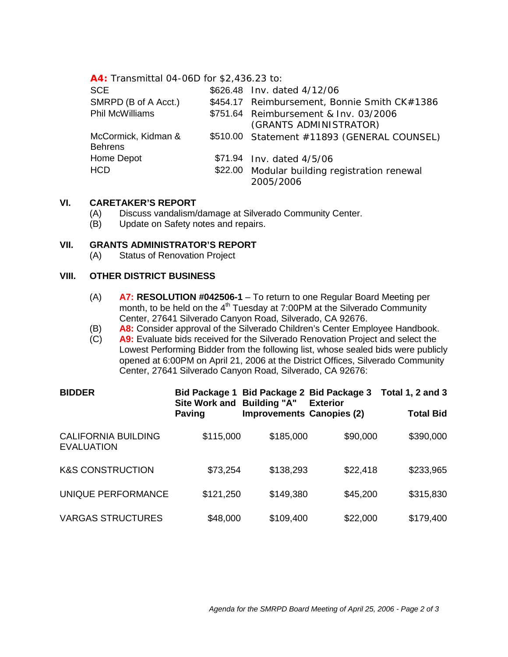# **A4:** Transmittal 04-06D for \$2,436.23 to:

| <b>SCE</b>                            | \$626.48 Inv. dated 4/12/06                                |  |  |
|---------------------------------------|------------------------------------------------------------|--|--|
| SMRPD (B of A Acct.)                  | \$454.17 Reimbursement, Bonnie Smith CK#1386               |  |  |
| <b>Phil McWilliams</b>                | \$751.64 Reimbursement & Inv. 03/2006                      |  |  |
|                                       | (GRANTS ADMINISTRATOR)                                     |  |  |
| McCormick, Kidman &<br><b>Behrens</b> | \$510.00 Statement #11893 (GENERAL COUNSEL)                |  |  |
| Home Depot                            | \$71.94 Inv. dated 4/5/06                                  |  |  |
| <b>HCD</b>                            | \$22.00 Modular building registration renewal<br>2005/2006 |  |  |

# **VI. CARETAKER'S REPORT**

- (A) Discuss vandalism/damage at Silverado Community Center.
- (B) Update on Safety notes and repairs.

### **VII. GRANTS ADMINISTRATOR'S REPORT**

(A) Status of Renovation Project

# **VIII. OTHER DISTRICT BUSINESS**

- (A) **A7: RESOLUTION #042506-1** To return to one Regular Board Meeting per month, to be held on the  $4<sup>th</sup>$  Tuesday at 7:00PM at the Silverado Community Center, 27641 Silverado Canyon Road, Silverado, CA 92676.
- (B) **A8:** Consider approval of the Silverado Children's Center Employee Handbook.
- (C) **A9:** Evaluate bids received for the Silverado Renovation Project and select the Lowest Performing Bidder from the following list, whose sealed bids were publicly opened at 6:00PM on April 21, 2006 at the District Offices, Silverado Community Center, 27641 Silverado Canyon Road, Silverado, CA 92676:

| <b>BIDDER</b>                                   | <b>Bid Package 1</b><br>Site Work and Building "A" | Bid Package 2 Bid Package 3      | <b>Exterior</b> | <b>Total 1, 2 and 3</b> |
|-------------------------------------------------|----------------------------------------------------|----------------------------------|-----------------|-------------------------|
|                                                 | Paving                                             | <b>Improvements Canopies (2)</b> |                 | <b>Total Bid</b>        |
| <b>CALIFORNIA BUILDING</b><br><b>EVALUATION</b> | \$115,000                                          | \$185,000                        | \$90,000        | \$390,000               |
| <b>K&amp;S CONSTRUCTION</b>                     | \$73,254                                           | \$138,293                        | \$22,418        | \$233,965               |
| UNIQUE PERFORMANCE                              | \$121,250                                          | \$149,380                        | \$45,200        | \$315,830               |
| <b>VARGAS STRUCTURES</b>                        | \$48,000                                           | \$109,400                        | \$22,000        | \$179,400               |